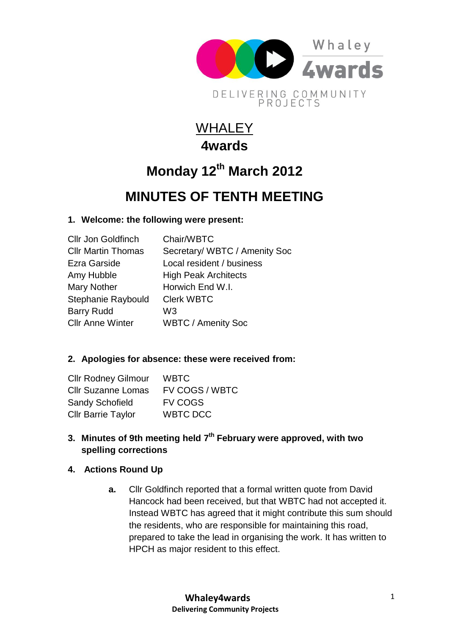

## **WHALEY 4wards**

# **Monday 12th March 2012**

### **MINUTES OF TENTH MEETING**

#### **1. Welcome: the following were present:**

| <b>Cllr Jon Goldfinch</b> | Chair/WBTC                    |
|---------------------------|-------------------------------|
| <b>Cllr Martin Thomas</b> | Secretary/ WBTC / Amenity Soc |
| Ezra Garside              | Local resident / business     |
| Amy Hubble                | <b>High Peak Architects</b>   |
| <b>Mary Nother</b>        | Horwich End W.I.              |
| Stephanie Raybould        | <b>Clerk WBTC</b>             |
| <b>Barry Rudd</b>         | W <sub>3</sub>                |
| <b>Cllr Anne Winter</b>   | <b>WBTC / Amenity Soc</b>     |
|                           |                               |

#### **2. Apologies for absence: these were received from:**

| <b>Cllr Rodney Gilmour</b> | WBTC           |
|----------------------------|----------------|
| <b>Cllr Suzanne Lomas</b>  | FV COGS / WBTC |
| <b>Sandy Schofield</b>     | <b>FV COGS</b> |
| <b>Cllr Barrie Taylor</b>  | WBTC DCC       |

**3. Minutes of 9th meeting held 7 th February were approved, with two spelling corrections**

#### **4. Actions Round Up**

**a.** Cllr Goldfinch reported that a formal written quote from David Hancock had been received, but that WBTC had not accepted it. Instead WBTC has agreed that it might contribute this sum should the residents, who are responsible for maintaining this road, prepared to take the lead in organising the work. It has written to HPCH as major resident to this effect.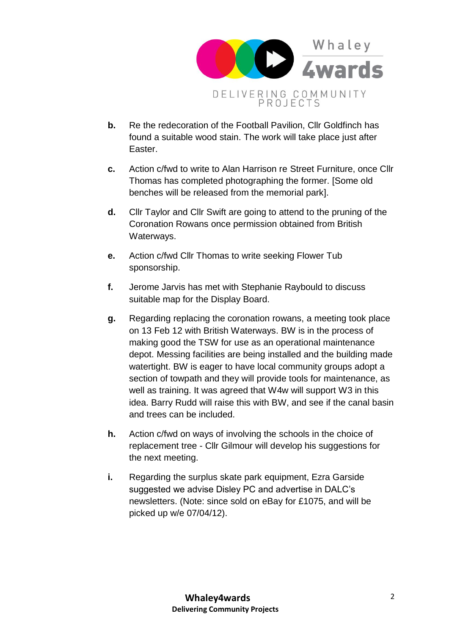

- **b.** Re the redecoration of the Football Pavilion, Cllr Goldfinch has found a suitable wood stain. The work will take place just after Easter.
- **c.** Action c/fwd to write to Alan Harrison re Street Furniture, once Cllr Thomas has completed photographing the former. [Some old benches will be released from the memorial park].
- **d.** Cllr Taylor and Cllr Swift are going to attend to the pruning of the Coronation Rowans once permission obtained from British Waterways.
- **e.** Action c/fwd Cllr Thomas to write seeking Flower Tub sponsorship.
- **f.** Jerome Jarvis has met with Stephanie Raybould to discuss suitable map for the Display Board.
- **g.** Regarding replacing the coronation rowans, a meeting took place on 13 Feb 12 with British Waterways. BW is in the process of making good the TSW for use as an operational maintenance depot. Messing facilities are being installed and the building made watertight. BW is eager to have local community groups adopt a section of towpath and they will provide tools for maintenance, as well as training. It was agreed that W4w will support W3 in this idea. Barry Rudd will raise this with BW, and see if the canal basin and trees can be included.
- **h.** Action c/fwd on ways of involving the schools in the choice of replacement tree - Cllr Gilmour will develop his suggestions for the next meeting.
- **i.** Regarding the surplus skate park equipment, Ezra Garside suggested we advise Disley PC and advertise in DALC's newsletters. (Note: since sold on eBay for £1075, and will be picked up w/e 07/04/12).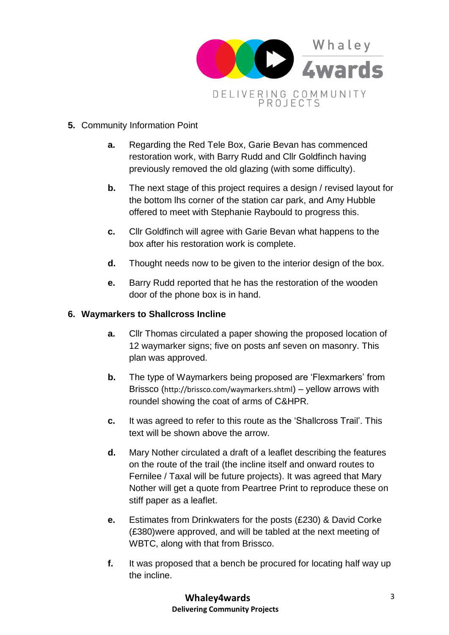

- **5.** Community Information Point
	- **a.** Regarding the Red Tele Box, Garie Bevan has commenced restoration work, with Barry Rudd and Cllr Goldfinch having previously removed the old glazing (with some difficulty).
	- **b.** The next stage of this project requires a design / revised layout for the bottom lhs corner of the station car park, and Amy Hubble offered to meet with Stephanie Raybould to progress this.
	- **c.** Cllr Goldfinch will agree with Garie Bevan what happens to the box after his restoration work is complete.
	- **d.** Thought needs now to be given to the interior design of the box.
	- **e.** Barry Rudd reported that he has the restoration of the wooden door of the phone box is in hand.

#### **6. Waymarkers to Shallcross Incline**

- **a.** Cllr Thomas circulated a paper showing the proposed location of 12 waymarker signs; five on posts anf seven on masonry. This plan was approved.
- **b.** The type of Waymarkers being proposed are 'Flexmarkers' from Brissco (<http://brissco.com/waymarkers.shtml>) – yellow arrows with roundel showing the coat of arms of C&HPR.
- **c.** It was agreed to refer to this route as the 'Shallcross Trail'. This text will be shown above the arrow.
- **d.** Mary Nother circulated a draft of a leaflet describing the features on the route of the trail (the incline itself and onward routes to Fernilee / Taxal will be future projects). It was agreed that Mary Nother will get a quote from Peartree Print to reproduce these on stiff paper as a leaflet.
- **e.** Estimates from Drinkwaters for the posts (£230) & David Corke (£380)were approved, and will be tabled at the next meeting of WBTC, along with that from Brissco.
- **f.** It was proposed that a bench be procured for locating half way up the incline.